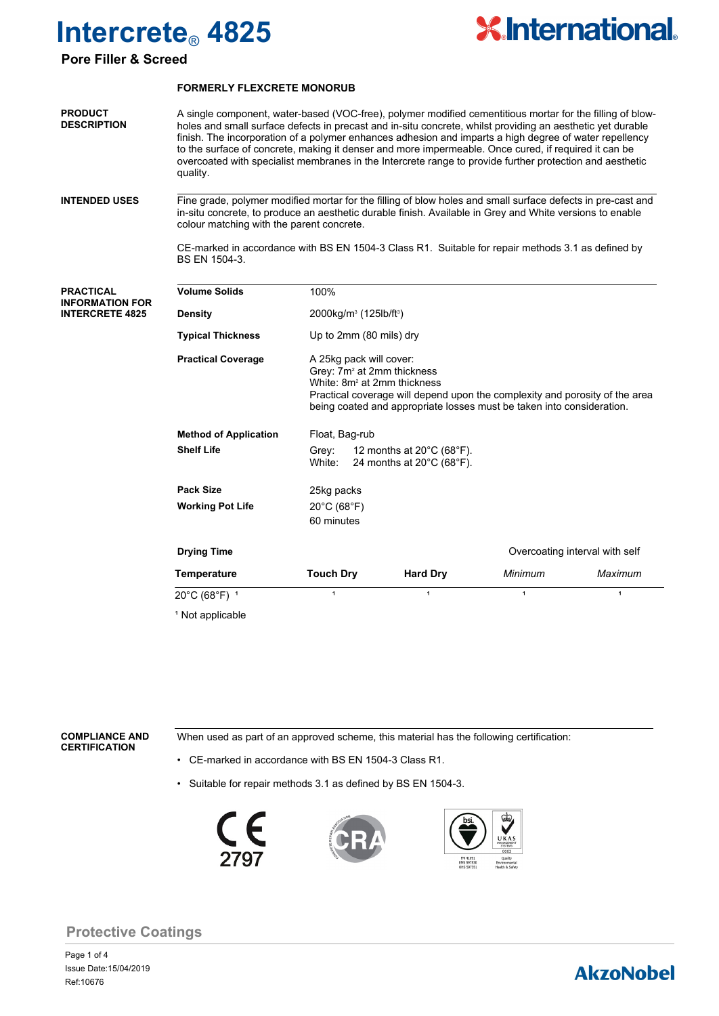

### **Pore Filler & Screed**

#### **FORMERLY FLEXCRETE MONORUB**

A single component, water-based (VOC-free), polymer modified cementitious mortar for the filling of blowholes and small surface defects in precast and in-situ concrete, whilst providing an aesthetic yet durable finish. The incorporation of a polymer enhances adhesion and imparts a high degree of water repellency to the surface of concrete, making it denser and more impermeable. Once cured, if required it can be overcoated with specialist membranes in the Intercrete range to provide further protection and aesthetic quality. **PRODUCT DESCRIPTION**

Fine grade, polymer modified mortar for the filling of blow holes and small surface defects in pre-cast and in-situ concrete, to produce an aesthetic durable finish. Available in Grey and White versions to enable colour matching with the parent concrete. **INTENDED USES**

> CE-marked in accordance with BS EN 1504-3 Class R1. Suitable for repair methods 3.1 as defined by BS EN 1504-3.

| <b>PRACTICAL</b><br><b>INFORMATION FOR</b> | <b>Volume Solids</b>         | 100%                                                                                                                                                                                                                                                                 |                                                                           |              |                                |  |
|--------------------------------------------|------------------------------|----------------------------------------------------------------------------------------------------------------------------------------------------------------------------------------------------------------------------------------------------------------------|---------------------------------------------------------------------------|--------------|--------------------------------|--|
| <b>INTERCRETE 4825</b>                     | <b>Density</b>               |                                                                                                                                                                                                                                                                      | 2000kg/m <sup>3</sup> (125lb/ft <sup>3</sup> )<br>Up to 2mm (80 mils) dry |              |                                |  |
|                                            | <b>Typical Thickness</b>     |                                                                                                                                                                                                                                                                      |                                                                           |              |                                |  |
|                                            | <b>Practical Coverage</b>    | A 25kg pack will cover:<br>Grey: 7m <sup>2</sup> at 2mm thickness<br>White: 8m <sup>2</sup> at 2mm thickness<br>Practical coverage will depend upon the complexity and porosity of the area<br>being coated and appropriate losses must be taken into consideration. |                                                                           |              |                                |  |
|                                            | <b>Method of Application</b> | Float, Bag-rub                                                                                                                                                                                                                                                       |                                                                           |              |                                |  |
|                                            | <b>Shelf Life</b>            | 12 months at $20^{\circ}$ C (68 $^{\circ}$ F).<br>Grey:<br>White:<br>24 months at $20^{\circ}$ C (68 $^{\circ}$ F).                                                                                                                                                  |                                                                           |              |                                |  |
|                                            | <b>Pack Size</b>             | 25kg packs                                                                                                                                                                                                                                                           |                                                                           |              |                                |  |
|                                            | <b>Working Pot Life</b>      | $20^{\circ}$ C (68 $^{\circ}$ F)                                                                                                                                                                                                                                     |                                                                           |              |                                |  |
|                                            |                              | 60 minutes                                                                                                                                                                                                                                                           |                                                                           |              |                                |  |
|                                            | <b>Drying Time</b>           |                                                                                                                                                                                                                                                                      |                                                                           |              | Overcoating interval with self |  |
|                                            | <b>Temperature</b>           | <b>Touch Dry</b>                                                                                                                                                                                                                                                     | <b>Hard Dry</b>                                                           | Minimum      | Maximum                        |  |
|                                            | 20°C (68°F) 1                | $\mathbf{1}$                                                                                                                                                                                                                                                         | $\mathbf{1}$                                                              | $\mathbf{1}$ | 1                              |  |
|                                            | <sup>1</sup> Not applicable  |                                                                                                                                                                                                                                                                      |                                                                           |              |                                |  |

#### **COMPLIANCE AND CERTIFICATION**

When used as part of an approved scheme, this material has the following certification:

- CE-marked in accordance with BS EN 1504-3 Class R1.
- Suitable for repair methods 3.1 as defined by BS EN 1504-3.



## **Protective Coatings**

## **AkzoNobel**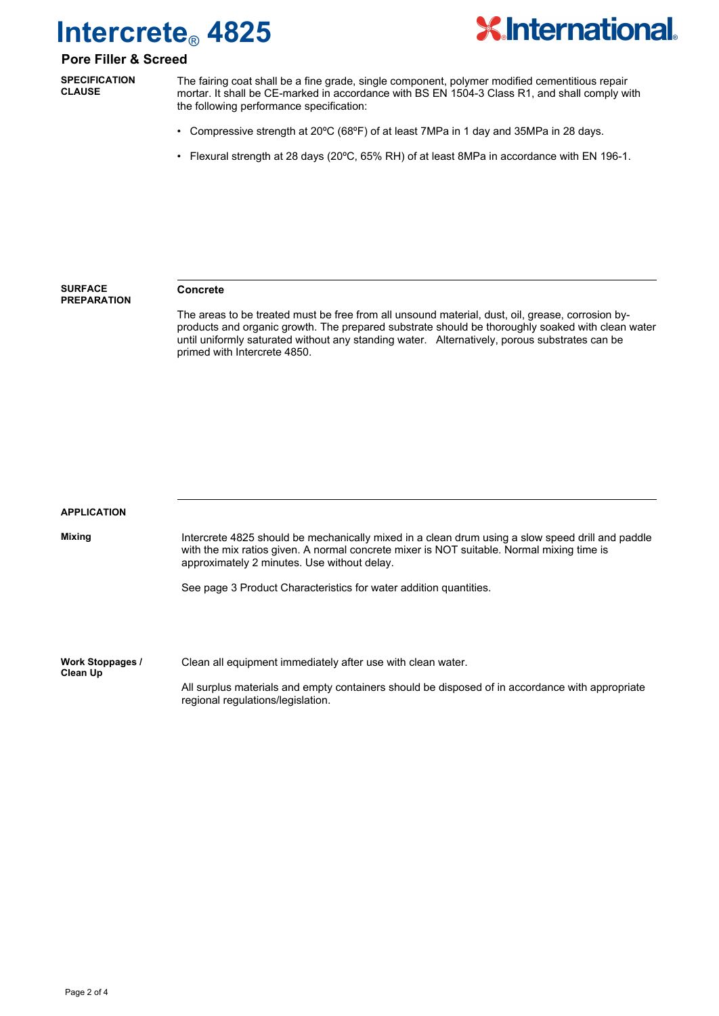

## **Pore Filler & Screed**

**SPECIFICATION CLAUSE**

The fairing coat shall be a fine grade, single component, polymer modified cementitious repair mortar. It shall be CE-marked in accordance with BS EN 1504-3 Class R1, and shall comply with the following performance specification:

- Compressive strength at 20ºC (68ºF) of at least 7MPa in 1 day and 35MPa in 28 days.
- Flexural strength at 28 days (20ºC, 65% RH) of at least 8MPa in accordance with EN 196-1.

**SURFACE PREPARATION**

#### **Concrete**

The areas to be treated must be free from all unsound material, dust, oil, grease, corrosion byproducts and organic growth. The prepared substrate should be thoroughly soaked with clean water until uniformly saturated without any standing water. Alternatively, porous substrates can be primed with Intercrete 4850.

| <b>APPLICATION</b>           |                                                                                                                                                                                                                                              |  |  |  |  |
|------------------------------|----------------------------------------------------------------------------------------------------------------------------------------------------------------------------------------------------------------------------------------------|--|--|--|--|
| Mixing                       | Intercrete 4825 should be mechanically mixed in a clean drum using a slow speed drill and paddle<br>with the mix ratios given. A normal concrete mixer is NOT suitable. Normal mixing time is<br>approximately 2 minutes. Use without delay. |  |  |  |  |
|                              | See page 3 Product Characteristics for water addition quantities.                                                                                                                                                                            |  |  |  |  |
|                              |                                                                                                                                                                                                                                              |  |  |  |  |
| Work Stoppages /<br>Clean Up | Clean all equipment immediately after use with clean water.                                                                                                                                                                                  |  |  |  |  |
|                              | All surplus materials and empty containers should be disposed of in accordance with appropriate                                                                                                                                              |  |  |  |  |

regional regulations/legislation.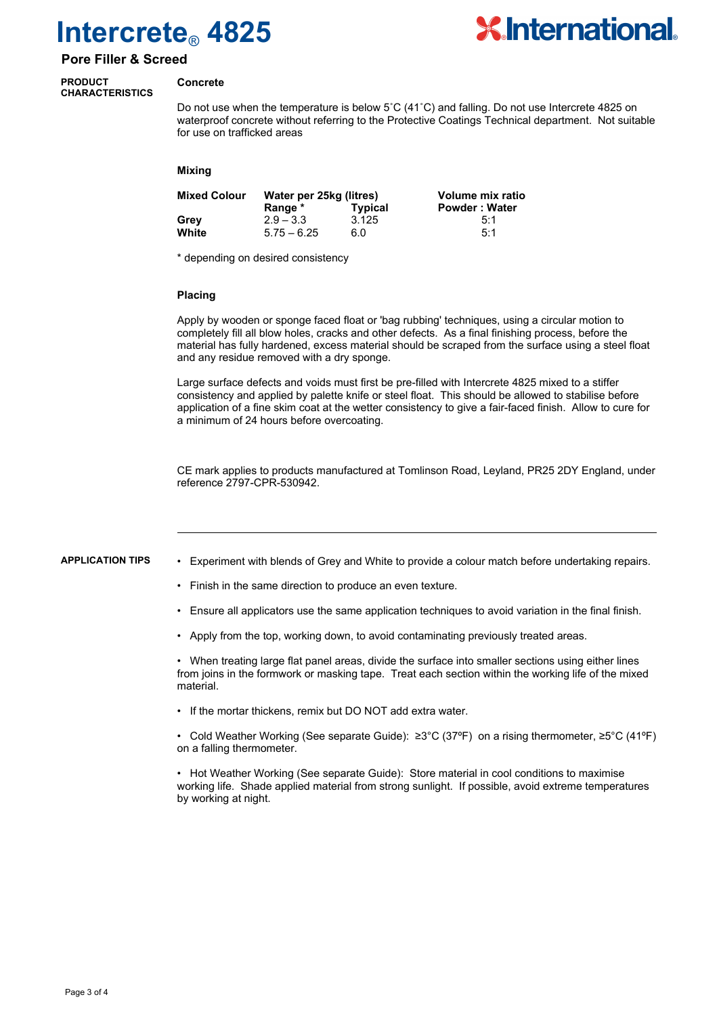

### **Pore Filler & Screed**

#### **PRODUCT CHARACTERISTICS**

#### **Concrete**

Do not use when the temperature is below 5˚C (41˚C) and falling. Do not use Intercrete 4825 on waterproof concrete without referring to the Protective Coatings Technical department. Not suitable for use on trafficked areas

#### **Mixing**

| <b>Mixed Colour</b> | Water per 25kg (litres) |                | Volume mix ratio     |
|---------------------|-------------------------|----------------|----------------------|
|                     | Range *                 | <b>Typical</b> | <b>Powder: Water</b> |
| Grev                | $2.9 - 3.3$             | 3.125          | 5:1                  |
| White               | $5.75 - 6.25$           | 6.0            | 5:1                  |

\* depending on desired consistency

#### **Placing**

Apply by wooden or sponge faced float or 'bag rubbing' techniques, using a circular motion to completely fill all blow holes, cracks and other defects. As a final finishing process, before the material has fully hardened, excess material should be scraped from the surface using a steel float and any residue removed with a dry sponge.

Large surface defects and voids must first be pre-filled with Intercrete 4825 mixed to a stiffer consistency and applied by palette knife or steel float. This should be allowed to stabilise before application of a fine skim coat at the wetter consistency to give a fair-faced finish. Allow to cure for a minimum of 24 hours before overcoating.

CE mark applies to products manufactured at Tomlinson Road, Leyland, PR25 2DY England, under reference 2797-CPR-530942.

#### **APPLICATION TIPS**

- Experiment with blends of Grey and White to provide a colour match before undertaking repairs.
	- Finish in the same direction to produce an even texture.
- Ensure all applicators use the same application techniques to avoid variation in the final finish.
- Apply from the top, working down, to avoid contaminating previously treated areas.

• When treating large flat panel areas, divide the surface into smaller sections using either lines from joins in the formwork or masking tape. Treat each section within the working life of the mixed material.

• If the mortar thickens, remix but DO NOT add extra water.

• Cold Weather Working (See separate Guide): ≥3°C (37ºF) on a rising thermometer, ≥5°C (41ºF) on a falling thermometer.

• Hot Weather Working (See separate Guide): Store material in cool conditions to maximise working life. Shade applied material from strong sunlight. If possible, avoid extreme temperatures by working at night.